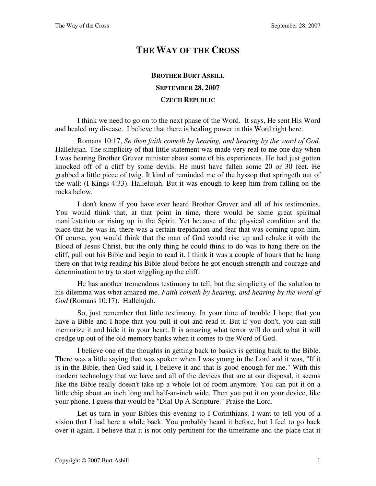## **THE WAY OF THE CROSS**

## **BROTHER BURT ASBILL SEPTEMBER 28, 2007 CZECH REPUBLIC**

I think we need to go on to the next phase of the Word. It says, He sent His Word and healed my disease. I believe that there is healing power in this Word right here.

Romans 10:17, *So then faith cometh by hearing, and hearing by the word of God.* Hallelujah. The simplicity of that little statement was made very real to me one day when I was hearing Brother Gruver minister about some of his experiences. He had just gotten knocked off of a cliff by some devils. He must have fallen some 20 or 30 feet. He grabbed a little piece of twig. It kind of reminded me of the hyssop that springeth out of the wall: (I Kings 4:33). Hallelujah. But it was enough to keep him from falling on the rocks below.

I don't know if you have ever heard Brother Gruver and all of his testimonies. You would think that, at that point in time, there would be some great spiritual manifestation or rising up in the Spirit. Yet because of the physical condition and the place that he was in, there was a certain trepidation and fear that was coming upon him. Of course, you would think that the man of God would rise up and rebuke it with the Blood of Jesus Christ, but the only thing he could think to do was to hang there on the cliff, pull out his Bible and begin to read it. I think it was a couple of hours that he hung there on that twig reading his Bible aloud before he got enough strength and courage and determination to try to start wiggling up the cliff.

He has another tremendous testimony to tell, but the simplicity of the solution to his dilemma was what amazed me. *Faith cometh by hearing, and hearing by the word of God* (Romans 10:17). Hallelujah.

So, just remember that little testimony. In your time of trouble I hope that you have a Bible and I hope that you pull it out and read it. But if you don't, you can still memorize it and hide it in your heart. It is amazing what terror will do and what it will dredge up out of the old memory banks when it comes to the Word of God.

I believe one of the thoughts in getting back to basics is getting back to the Bible. There was a little saying that was spoken when I was young in the Lord and it was, "If it is in the Bible, then God said it, I believe it and that is good enough for me." With this modern technology that we have and all of the devices that are at our disposal, it seems like the Bible really doesn't take up a whole lot of room anymore. You can put it on a little chip about an inch long and half-an-inch wide. Then you put it on your device, like your phone. I guess that would be "Dial Up A Scripture." Praise the Lord.

Let us turn in your Bibles this evening to I Corinthians. I want to tell you of a vision that I had here a while back. You probably heard it before, but I feel to go back over it again. I believe that it is not only pertinent for the timeframe and the place that it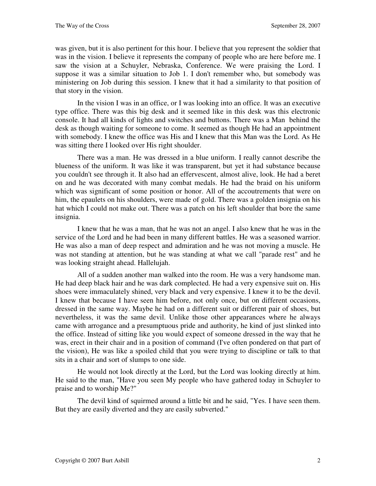was given, but it is also pertinent for this hour. I believe that you represent the soldier that was in the vision. I believe it represents the company of people who are here before me. I saw the vision at a Schuyler, Nebraska, Conference. We were praising the Lord. I suppose it was a similar situation to Job 1. I don't remember who, but somebody was ministering on Job during this session. I knew that it had a similarity to that position of that story in the vision.

In the vision I was in an office, or I was looking into an office. It was an executive type office. There was this big desk and it seemed like in this desk was this electronic console. It had all kinds of lights and switches and buttons. There was a Man behind the desk as though waiting for someone to come. It seemed as though He had an appointment with somebody. I knew the office was His and I knew that this Man was the Lord. As He was sitting there I looked over His right shoulder.

There was a man. He was dressed in a blue uniform. I really cannot describe the blueness of the uniform. It was like it was transparent, but yet it had substance because you couldn't see through it. It also had an effervescent, almost alive, look. He had a beret on and he was decorated with many combat medals. He had the braid on his uniform which was significant of some position or honor. All of the accoutrements that were on him, the epaulets on his shoulders, were made of gold. There was a golden insignia on his hat which I could not make out. There was a patch on his left shoulder that bore the same insignia.

I knew that he was a man, that he was not an angel. I also knew that he was in the service of the Lord and he had been in many different battles. He was a seasoned warrior. He was also a man of deep respect and admiration and he was not moving a muscle. He was not standing at attention, but he was standing at what we call "parade rest" and he was looking straight ahead. Hallelujah.

All of a sudden another man walked into the room. He was a very handsome man. He had deep black hair and he was dark complected. He had a very expensive suit on. His shoes were immaculately shined, very black and very expensive. I knew it to be the devil. I knew that because I have seen him before, not only once, but on different occasions, dressed in the same way. Maybe he had on a different suit or different pair of shoes, but nevertheless, it was the same devil. Unlike those other appearances where he always came with arrogance and a presumptuous pride and authority, he kind of just slinked into the office. Instead of sitting like you would expect of someone dressed in the way that he was, erect in their chair and in a position of command (I've often pondered on that part of the vision), He was like a spoiled child that you were trying to discipline or talk to that sits in a chair and sort of slumps to one side.

He would not look directly at the Lord, but the Lord was looking directly at him. He said to the man, "Have you seen My people who have gathered today in Schuyler to praise and to worship Me?"

The devil kind of squirmed around a little bit and he said, "Yes. I have seen them. But they are easily diverted and they are easily subverted."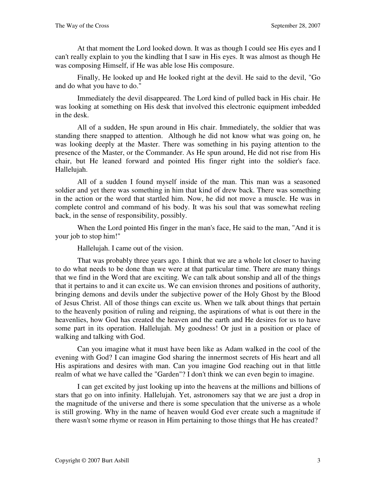At that moment the Lord looked down. It was as though I could see His eyes and I can't really explain to you the kindling that I saw in His eyes. It was almost as though He was composing Himself, if He was able lose His composure.

Finally, He looked up and He looked right at the devil. He said to the devil, "Go and do what you have to do."

Immediately the devil disappeared. The Lord kind of pulled back in His chair. He was looking at something on His desk that involved this electronic equipment imbedded in the desk.

All of a sudden, He spun around in His chair. Immediately, the soldier that was standing there snapped to attention. Although he did not know what was going on, he was looking deeply at the Master. There was something in his paying attention to the presence of the Master, or the Commander. As He spun around, He did not rise from His chair, but He leaned forward and pointed His finger right into the soldier's face. Hallelujah.

All of a sudden I found myself inside of the man. This man was a seasoned soldier and yet there was something in him that kind of drew back. There was something in the action or the word that startled him. Now, he did not move a muscle. He was in complete control and command of his body. It was his soul that was somewhat reeling back, in the sense of responsibility, possibly.

When the Lord pointed His finger in the man's face, He said to the man, "And it is your job to stop him!"

Hallelujah. I came out of the vision.

That was probably three years ago. I think that we are a whole lot closer to having to do what needs to be done than we were at that particular time. There are many things that we find in the Word that are exciting. We can talk about sonship and all of the things that it pertains to and it can excite us. We can envision thrones and positions of authority, bringing demons and devils under the subjective power of the Holy Ghost by the Blood of Jesus Christ. All of those things can excite us. When we talk about things that pertain to the heavenly position of ruling and reigning, the aspirations of what is out there in the heavenlies, how God has created the heaven and the earth and He desires for us to have some part in its operation. Hallelujah. My goodness! Or just in a position or place of walking and talking with God.

Can you imagine what it must have been like as Adam walked in the cool of the evening with God? I can imagine God sharing the innermost secrets of His heart and all His aspirations and desires with man. Can you imagine God reaching out in that little realm of what we have called the "Garden"? I don't think we can even begin to imagine.

I can get excited by just looking up into the heavens at the millions and billions of stars that go on into infinity. Hallelujah. Yet, astronomers say that we are just a drop in the magnitude of the universe and there is some speculation that the universe as a whole is still growing. Why in the name of heaven would God ever create such a magnitude if there wasn't some rhyme or reason in Him pertaining to those things that He has created?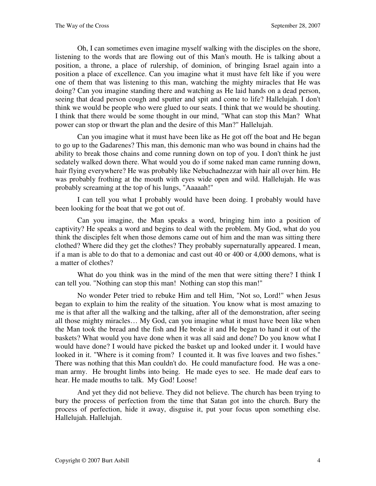Oh, I can sometimes even imagine myself walking with the disciples on the shore, listening to the words that are flowing out of this Man's mouth. He is talking about a position, a throne, a place of rulership, of dominion, of bringing Israel again into a position a place of excellence. Can you imagine what it must have felt like if you were one of them that was listening to this man, watching the mighty miracles that He was doing? Can you imagine standing there and watching as He laid hands on a dead person, seeing that dead person cough and sputter and spit and come to life? Hallelujah. I don't think we would be people who were glued to our seats. I think that we would be shouting. I think that there would be some thought in our mind, "What can stop this Man? What power can stop or thwart the plan and the desire of this Man?" Hallelujah.

Can you imagine what it must have been like as He got off the boat and He began to go up to the Gadarenes? This man, this demonic man who was bound in chains had the ability to break those chains and come running down on top of you. I don't think he just sedately walked down there. What would you do if some naked man came running down, hair flying everywhere? He was probably like Nebuchadnezzar with hair all over him. He was probably frothing at the mouth with eyes wide open and wild. Hallelujah. He was probably screaming at the top of his lungs, "Aaaaah!"

I can tell you what I probably would have been doing. I probably would have been looking for the boat that we got out of.

Can you imagine, the Man speaks a word, bringing him into a position of captivity? He speaks a word and begins to deal with the problem. My God, what do you think the disciples felt when those demons came out of him and the man was sitting there clothed? Where did they get the clothes? They probably supernaturally appeared. I mean, if a man is able to do that to a demoniac and cast out 40 or 400 or 4,000 demons, what is a matter of clothes?

What do you think was in the mind of the men that were sitting there? I think I can tell you. "Nothing can stop this man! Nothing can stop this man!"

No wonder Peter tried to rebuke Him and tell Him, "Not so, Lord!" when Jesus began to explain to him the reality of the situation. You know what is most amazing to me is that after all the walking and the talking, after all of the demonstration, after seeing all those mighty miracles… My God, can you imagine what it must have been like when the Man took the bread and the fish and He broke it and He began to hand it out of the baskets? What would you have done when it was all said and done? Do you know what I would have done? I would have picked the basket up and looked under it. I would have looked in it. "Where is it coming from? I counted it. It was five loaves and two fishes." There was nothing that this Man couldn't do. He could manufacture food. He was a oneman army. He brought limbs into being. He made eyes to see. He made deaf ears to hear. He made mouths to talk. My God! Loose!

And yet they did not believe. They did not believe. The church has been trying to bury the process of perfection from the time that Satan got into the church. Bury the process of perfection, hide it away, disguise it, put your focus upon something else. Hallelujah. Hallelujah.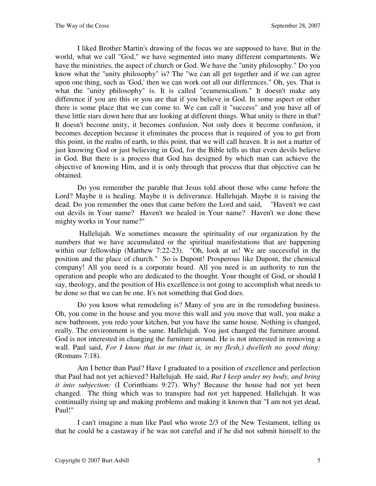I liked Brother Martin's drawing of the focus we are supposed to have. But in the world, what we call "God," we have segmented into many different compartments. We have the ministries, the aspect of church or God. We have the "unity philosophy." Do you know what the "unity philosophy" is? The "we can all get together and if we can agree upon one thing, such as 'God,' then we can work out all our differences." Oh, yes. That is what the "unity philosophy" is. It is called "ecumenicalism." It doesn't make any difference if you are this or you are that if you believe in God. In some aspect or other there is some place that we can come to. We can call it "success" and you have all of these little stars down here that are looking at different things. What unity is there in that? It doesn't become unity, it becomes confusion. Not only does it become confusion, it becomes deception because it eliminates the process that is required of you to get from this point, in the realm of earth, to this point, that we will call heaven. It is not a matter of just knowing God or just believing in God, for the Bible tells us that even devils believe in God. But there is a process that God has designed by which man can achieve the objective of knowing Him, and it is only through that process that that objective can be obtained.

Do you remember the parable that Jesus told about those who came before the Lord? Maybe it is healing. Maybe it is deliverance. Hallelujah. Maybe it is raising the dead. Do you remember the ones that came before the Lord and said, "Haven't we cast out devils in Your name? Haven't we healed in Your name? Haven't we done these mighty works in Your name?"

 Hallelujah. We sometimes measure the spirituality of our organization by the numbers that we have accumulated or the spiritual manifestations that are happening within our fellowship (Matthew 7:22-23). "Oh, look at us! We are successful in the position and the place of church." So is Dupont! Prosperous like Dupont, the chemical company! All you need is a corporate board. All you need is an authority to run the operation and people who are dedicated to the thought. Your thought of God, or should I say, theology, and the position of His excellence is not going to accomplish what needs to be done so that we can be one. It's not something that God does.

Do you know what remodeling is? Many of you are in the remodeling business. Oh, you come in the house and you move this wall and you move that wall, you make a new bathroom, you redo your kitchen, but you have the same house. Nothing is changed, really. The environment is the same. Hallelujah. You just changed the furniture around. God is not interested in changing the furniture around. He is not interested in removing a wall. Paul said, *For I know that in me (that is, in my flesh,) dwelleth no good thing:* (Romans 7:18).

Am I better than Paul? Have I graduated to a position of excellence and perfection that Paul had not yet achieved? Hallelujah. He said, *But I keep under my body, and bring it into subjection:* (I Corinthians 9:27). Why? Because the house had not yet been changed. The thing which was to transpire had not yet happened. Hallelujah. It was continually rising up and making problems and making it known that "I am not yet dead, Paul!"

I can't imagine a man like Paul who wrote 2/3 of the New Testament, telling us that he could be a castaway if he was not careful and if he did not submit himself to the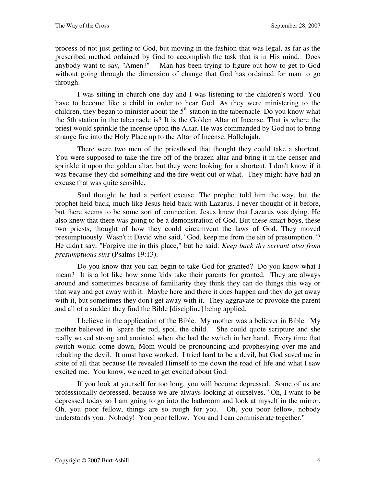process of not just getting to God, but moving in the fashion that was legal, as far as the prescribed method ordained by God to accomplish the task that is in His mind. Does anybody want to say, "Amen?" Man has been trying to figure out how to get to God without going through the dimension of change that God has ordained for man to go through.

I was sitting in church one day and I was listening to the children's word. You have to become like a child in order to hear God. As they were ministering to the children, they began to minister about the  $5<sup>th</sup>$  station in the tabernacle. Do you know what the 5th station in the tabernacle is? It is the Golden Altar of Incense. That is where the priest would sprinkle the incense upon the Altar. He was commanded by God not to bring strange fire into the Holy Place up to the Altar of Incense. Hallelujah.

There were two men of the priesthood that thought they could take a shortcut. You were supposed to take the fire off of the brazen altar and bring it in the censer and sprinkle it upon the golden altar, but they were looking for a shortcut. I don't know if it was because they did something and the fire went out or what. They might have had an excuse that was quite sensible.

Saul thought he had a perfect excuse. The prophet told him the way, but the prophet held back, much like Jesus held back with Lazarus. I never thought of it before, but there seems to be some sort of connection. Jesus knew that Lazarus was dying. He also knew that there was going to be a demonstration of God. But these smart boys, these two priests, thought of how they could circumvent the laws of God. They moved presumptuously. Wasn't it David who said, "God, keep me from the sin of presumption."? He didn't say, "Forgive me in this place," but he said: *Keep back thy servant also from presumptuous sins* (Psalms 19:13).

Do you know that you can begin to take God for granted? Do you know what I mean? It is a lot like how some kids take their parents for granted. They are always around and sometimes because of familiarity they think they can do things this way or that way and get away with it. Maybe here and there it does happen and they do get away with it, but sometimes they don't get away with it. They aggravate or provoke the parent and all of a sudden they find the Bible [discipline] being applied.

I believe in the application of the Bible. My mother was a believer in Bible. My mother believed in "spare the rod, spoil the child." She could quote scripture and she really waxed strong and anointed when she had the switch in her hand. Every time that switch would come down, Mom would be pronouncing and prophesying over me and rebuking the devil. It must have worked. I tried hard to be a devil, but God saved me in spite of all that because He revealed Himself to me down the road of life and what I saw excited me. You know, we need to get excited about God.

If you look at yourself for too long, you will become depressed. Some of us are professionally depressed, because we are always looking at ourselves. "Oh, I want to be depressed today so I am going to go into the bathroom and look at myself in the mirror. Oh, you poor fellow, things are so rough for you. Oh, you poor fellow, nobody understands you. Nobody! You poor fellow. You and I can commiserate together."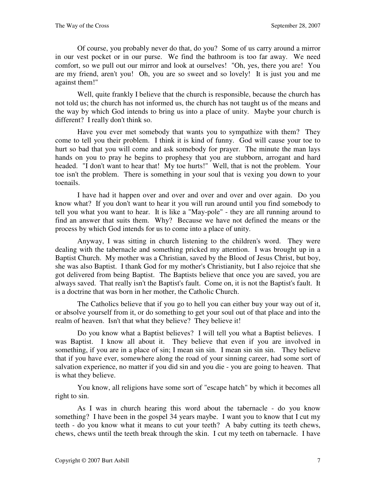Of course, you probably never do that, do you? Some of us carry around a mirror in our vest pocket or in our purse. We find the bathroom is too far away. We need comfort, so we pull out our mirror and look at ourselves! "Oh, yes, there you are! You are my friend, aren't you! Oh, you are so sweet and so lovely! It is just you and me against them!"

Well, quite frankly I believe that the church is responsible, because the church has not told us; the church has not informed us, the church has not taught us of the means and the way by which God intends to bring us into a place of unity. Maybe your church is different? I really don't think so.

Have you ever met somebody that wants you to sympathize with them? They come to tell you their problem. I think it is kind of funny. God will cause your toe to hurt so bad that you will come and ask somebody for prayer. The minute the man lays hands on you to pray he begins to prophesy that you are stubborn, arrogant and hard headed. "I don't want to hear that! My toe hurts!" Well, that is not the problem. Your toe isn't the problem. There is something in your soul that is vexing you down to your toenails.

I have had it happen over and over and over and over and over again. Do you know what? If you don't want to hear it you will run around until you find somebody to tell you what you want to hear. It is like a "May-pole" - they are all running around to find an answer that suits them. Why? Because we have not defined the means or the process by which God intends for us to come into a place of unity.

Anyway, I was sitting in church listening to the children's word. They were dealing with the tabernacle and something pricked my attention. I was brought up in a Baptist Church. My mother was a Christian, saved by the Blood of Jesus Christ, but boy, she was also Baptist. I thank God for my mother's Christianity, but I also rejoice that she got delivered from being Baptist. The Baptists believe that once you are saved, you are always saved. That really isn't the Baptist's fault. Come on, it is not the Baptist's fault. It is a doctrine that was born in her mother, the Catholic Church.

The Catholics believe that if you go to hell you can either buy your way out of it, or absolve yourself from it, or do something to get your soul out of that place and into the realm of heaven. Isn't that what they believe? They believe it!

Do you know what a Baptist believes? I will tell you what a Baptist believes. I was Baptist. I know all about it. They believe that even if you are involved in something, if you are in a place of sin; I mean sin sin. I mean sin sin sin. They believe that if you have ever, somewhere along the road of your sinning career, had some sort of salvation experience, no matter if you did sin and you die - you are going to heaven. That is what they believe.

You know, all religions have some sort of "escape hatch" by which it becomes all right to sin.

As I was in church hearing this word about the tabernacle - do you know something? I have been in the gospel 34 years maybe. I want you to know that I cut my teeth - do you know what it means to cut your teeth? A baby cutting its teeth chews, chews, chews until the teeth break through the skin. I cut my teeth on tabernacle. I have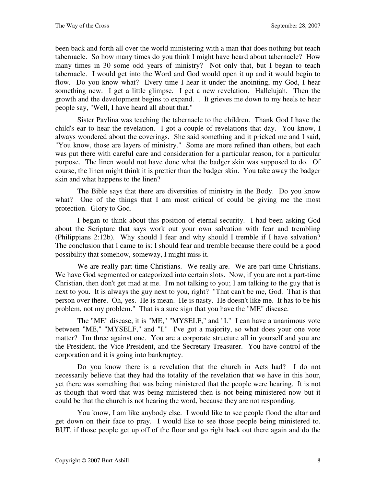been back and forth all over the world ministering with a man that does nothing but teach tabernacle. So how many times do you think I might have heard about tabernacle? How many times in 30 some odd years of ministry? Not only that, but I began to teach tabernacle. I would get into the Word and God would open it up and it would begin to flow. Do you know what? Every time I hear it under the anointing, my God, I hear something new. I get a little glimpse. I get a new revelation. Hallelujah. Then the growth and the development begins to expand. . It grieves me down to my heels to hear people say, "Well, I have heard all about that."

Sister Pavlina was teaching the tabernacle to the children. Thank God I have the child's ear to hear the revelation. I got a couple of revelations that day. You know, I always wondered about the coverings. She said something and it pricked me and I said, "You know, those are layers of ministry." Some are more refined than others, but each was put there with careful care and consideration for a particular reason, for a particular purpose. The linen would not have done what the badger skin was supposed to do. Of course, the linen might think it is prettier than the badger skin. You take away the badger skin and what happens to the linen?

The Bible says that there are diversities of ministry in the Body. Do you know what? One of the things that I am most critical of could be giving me the most protection. Glory to God.

I began to think about this position of eternal security. I had been asking God about the Scripture that says work out your own salvation with fear and trembling (Philippians 2:12b). Why should I fear and why should I tremble if I have salvation? The conclusion that I came to is: I should fear and tremble because there could be a good possibility that somehow, someway, I might miss it.

We are really part-time Christians. We really are. We are part-time Christians. We have God segmented or categorized into certain slots. Now, if you are not a part-time Christian, then don't get mad at me. I'm not talking to you; I am talking to the guy that is next to you. It is always the guy next to you, right? "That can't be me, God. That is that person over there. Oh, yes. He is mean. He is nasty. He doesn't like me. It has to be his problem, not my problem." That is a sure sign that you have the "ME" disease.

The "ME" disease, it is "ME," "MYSELF," and "I." I can have a unanimous vote between "ME," "MYSELF," and "I." I've got a majority, so what does your one vote matter? I'm three against one. You are a corporate structure all in yourself and you are the President, the Vice-President, and the Secretary-Treasurer. You have control of the corporation and it is going into bankruptcy.

Do you know there is a revelation that the church in Acts had? I do not necessarily believe that they had the totality of the revelation that we have in this hour, yet there was something that was being ministered that the people were hearing. It is not as though that word that was being ministered then is not being ministered now but it could be that the church is not hearing the word, because they are not responding.

You know, I am like anybody else. I would like to see people flood the altar and get down on their face to pray. I would like to see those people being ministered to. BUT, if those people get up off of the floor and go right back out there again and do the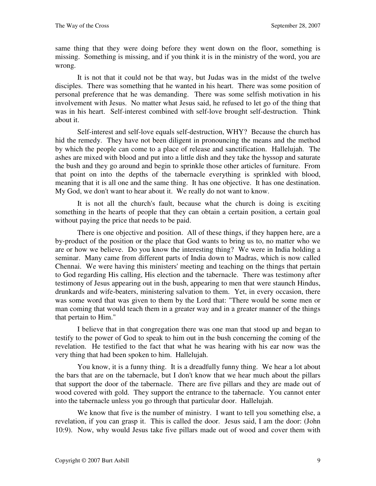same thing that they were doing before they went down on the floor, something is missing. Something is missing, and if you think it is in the ministry of the word, you are wrong.

It is not that it could not be that way, but Judas was in the midst of the twelve disciples. There was something that he wanted in his heart. There was some position of personal preference that he was demanding. There was some selfish motivation in his involvement with Jesus. No matter what Jesus said, he refused to let go of the thing that was in his heart. Self-interest combined with self-love brought self-destruction. Think about it.

Self-interest and self-love equals self-destruction, WHY? Because the church has hid the remedy. They have not been diligent in pronouncing the means and the method by which the people can come to a place of release and sanctification. Hallelujah. The ashes are mixed with blood and put into a little dish and they take the hyssop and saturate the bush and they go around and begin to sprinkle those other articles of furniture. From that point on into the depths of the tabernacle everything is sprinkled with blood, meaning that it is all one and the same thing. It has one objective. It has one destination. My God, we don't want to hear about it. We really do not want to know.

It is not all the church's fault, because what the church is doing is exciting something in the hearts of people that they can obtain a certain position, a certain goal without paying the price that needs to be paid.

There is one objective and position. All of these things, if they happen here, are a by-product of the position or the place that God wants to bring us to, no matter who we are or how we believe. Do you know the interesting thing? We were in India holding a seminar. Many came from different parts of India down to Madras, which is now called Chennai. We were having this ministers' meeting and teaching on the things that pertain to God regarding His calling, His election and the tabernacle. There was testimony after testimony of Jesus appearing out in the bush, appearing to men that were staunch Hindus, drunkards and wife-beaters, ministering salvation to them. Yet, in every occasion, there was some word that was given to them by the Lord that: "There would be some men or man coming that would teach them in a greater way and in a greater manner of the things that pertain to Him."

I believe that in that congregation there was one man that stood up and began to testify to the power of God to speak to him out in the bush concerning the coming of the revelation. He testified to the fact that what he was hearing with his ear now was the very thing that had been spoken to him. Hallelujah.

You know, it is a funny thing. It is a dreadfully funny thing. We hear a lot about the bars that are on the tabernacle, but I don't know that we hear much about the pillars that support the door of the tabernacle. There are five pillars and they are made out of wood covered with gold. They support the entrance to the tabernacle. You cannot enter into the tabernacle unless you go through that particular door. Hallelujah.

We know that five is the number of ministry. I want to tell you something else, a revelation, if you can grasp it. This is called the door. Jesus said, I am the door: (John 10:9). Now, why would Jesus take five pillars made out of wood and cover them with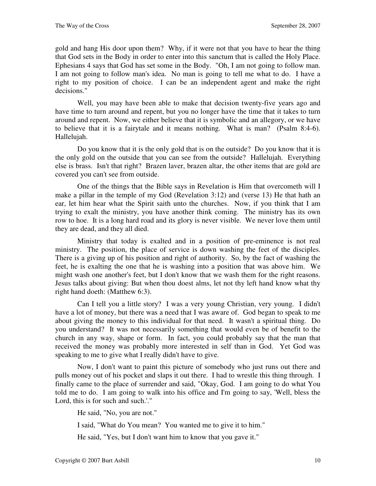gold and hang His door upon them? Why, if it were not that you have to hear the thing that God sets in the Body in order to enter into this sanctum that is called the Holy Place. Ephesians 4 says that God has set some in the Body. "Oh, I am not going to follow man. I am not going to follow man's idea. No man is going to tell me what to do. I have a right to my position of choice. I can be an independent agent and make the right decisions."

Well, you may have been able to make that decision twenty-five years ago and have time to turn around and repent, but you no longer have the time that it takes to turn around and repent. Now, we either believe that it is symbolic and an allegory, or we have to believe that it is a fairytale and it means nothing. What is man? (Psalm 8:4-6). Hallelujah.

Do you know that it is the only gold that is on the outside? Do you know that it is the only gold on the outside that you can see from the outside? Hallelujah. Everything else is brass. Isn't that right? Brazen laver, brazen altar, the other items that are gold are covered you can't see from outside.

One of the things that the Bible says in Revelation is Him that overcometh will I make a pillar in the temple of my God (Revelation 3:12) and (verse 13) He that hath an ear, let him hear what the Spirit saith unto the churches. Now, if you think that I am trying to exalt the ministry, you have another think coming. The ministry has its own row to hoe. It is a long hard road and its glory is never visible. We never love them until they are dead, and they all died.

Ministry that today is exalted and in a position of pre-eminence is not real ministry. The position, the place of service is down washing the feet of the disciples. There is a giving up of his position and right of authority. So, by the fact of washing the feet, he is exalting the one that he is washing into a position that was above him. We might wash one another's feet, but I don't know that we wash them for the right reasons. Jesus talks about giving: But when thou doest alms, let not thy left hand know what thy right hand doeth: (Matthew 6:3).

Can I tell you a little story? I was a very young Christian, very young. I didn't have a lot of money, but there was a need that I was aware of. God began to speak to me about giving the money to this individual for that need. It wasn't a spiritual thing. Do you understand? It was not necessarily something that would even be of benefit to the church in any way, shape or form. In fact, you could probably say that the man that received the money was probably more interested in self than in God. Yet God was speaking to me to give what I really didn't have to give.

Now, I don't want to paint this picture of somebody who just runs out there and pulls money out of his pocket and slaps it out there. I had to wrestle this thing through. I finally came to the place of surrender and said, "Okay, God. I am going to do what You told me to do. I am going to walk into his office and I'm going to say, 'Well, bless the Lord, this is for such and such."

He said, "No, you are not."

I said, "What do You mean? You wanted me to give it to him."

He said, "Yes, but I don't want him to know that you gave it."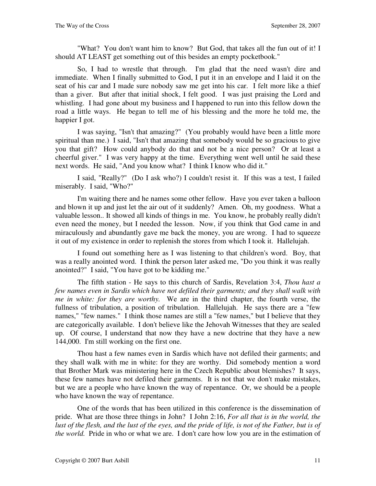"What? You don't want him to know? But God, that takes all the fun out of it! I should AT LEAST get something out of this besides an empty pocketbook."

So, I had to wrestle that through. I'm glad that the need wasn't dire and immediate. When I finally submitted to God, I put it in an envelope and I laid it on the seat of his car and I made sure nobody saw me get into his car. I felt more like a thief than a giver. But after that initial shock, I felt good. I was just praising the Lord and whistling. I had gone about my business and I happened to run into this fellow down the road a little ways. He began to tell me of his blessing and the more he told me, the happier I got.

I was saying, "Isn't that amazing?" (You probably would have been a little more spiritual than me.) I said, "Isn't that amazing that somebody would be so gracious to give you that gift? How could anybody do that and not be a nice person? Or at least a cheerful giver." I was very happy at the time. Everything went well until he said these next words. He said, "And you know what? I think I know who did it."

I said, "Really?" (Do I ask who?) I couldn't resist it. If this was a test, I failed miserably. I said, "Who?"

I'm waiting there and he names some other fellow. Have you ever taken a balloon and blown it up and just let the air out of it suddenly? Amen. Oh, my goodness. What a valuable lesson.. It showed all kinds of things in me. You know, he probably really didn't even need the money, but I needed the lesson. Now, if you think that God came in and miraculously and abundantly gave me back the money, you are wrong. I had to squeeze it out of my existence in order to replenish the stores from which I took it. Hallelujah.

I found out something here as I was listening to that children's word. Boy, that was a really anointed word. I think the person later asked me, "Do you think it was really anointed?" I said, "You have got to be kidding me."

The fifth station - He says to this church of Sardis, Revelation 3:4, *Thou hast a few names even in Sardis which have not defiled their garments; and they shall walk with me in white: for they are worthy.* We are in the third chapter, the fourth verse, the fullness of tribulation, a position of tribulation. Hallelujah. He says there are a "few names," "few names." I think those names are still a "few names," but I believe that they are categorically available. I don't believe like the Jehovah Witnesses that they are sealed up. Of course, I understand that now they have a new doctrine that they have a new 144,000. I'm still working on the first one.

Thou hast a few names even in Sardis which have not defiled their garments; and they shall walk with me in white: for they are worthy. Did somebody mention a word that Brother Mark was ministering here in the Czech Republic about blemishes? It says, these few names have not defiled their garments. It is not that we don't make mistakes, but we are a people who have known the way of repentance. Or, we should be a people who have known the way of repentance.

One of the words that has been utilized in this conference is the dissemination of pride. What are those three things in John? I John 2:16, *For all that is in the world, the*  lust of the flesh, and the lust of the eyes, and the pride of life, is not of the Father, but is of *the world.* Pride in who or what we are. I don't care how low you are in the estimation of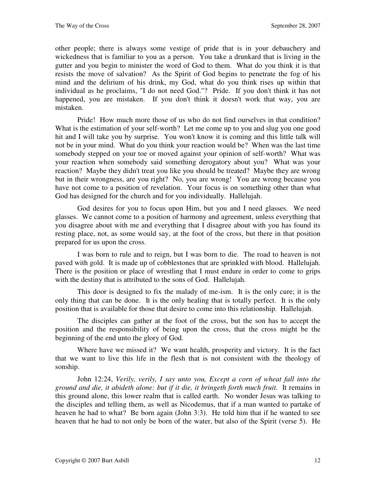other people; there is always some vestige of pride that is in your debauchery and wickedness that is familiar to you as a person. You take a drunkard that is living in the gutter and you begin to minister the word of God to them. What do you think it is that resists the move of salvation? As the Spirit of God begins to penetrate the fog of his mind and the delirium of his drink, my God, what do you think rises up within that individual as he proclaims, "I do not need God."? Pride. If you don't think it has not happened, you are mistaken. If you don't think it doesn't work that way, you are mistaken.

Pride! How much more those of us who do not find ourselves in that condition? What is the estimation of your self-worth? Let me come up to you and slug you one good hit and I will take you by surprise. You won't know it is coming and this little talk will not be in your mind. What do you think your reaction would be? When was the last time somebody stepped on your toe or moved against your opinion of self-worth? What was your reaction when somebody said something derogatory about you? What was your reaction? Maybe they didn't treat you like you should be treated? Maybe they are wrong but in their wrongness, are you right? No, you are wrong! You are wrong because you have not come to a position of revelation. Your focus is on something other than what God has designed for the church and for you individually. Hallelujah.

God desires for you to focus upon Him, but you and I need glasses. We need glasses. We cannot come to a position of harmony and agreement, unless everything that you disagree about with me and everything that I disagree about with you has found its resting place, not, as some would say, at the foot of the cross, but there in that position prepared for us upon the cross.

I was born to rule and to reign, but I was born to die. The road to heaven is not paved with gold. It is made up of cobblestones that are sprinkled with blood. Hallelujah. There is the position or place of wrestling that I must endure in order to come to grips with the destiny that is attributed to the sons of God. Hallelujah.

This door is designed to fix the malady of me-ism. It is the only cure; it is the only thing that can be done. It is the only healing that is totally perfect. It is the only position that is available for those that desire to come into this relationship. Hallelujah.

The disciples can gather at the foot of the cross, but the son has to accept the position and the responsibility of being upon the cross, that the cross might be the beginning of the end unto the glory of God.

Where have we missed it? We want health, prosperity and victory. It is the fact that we want to live this life in the flesh that is not consistent with the theology of sonship.

John 12:24, *Verily, verily, I say unto you, Except a corn of wheat fall into the ground and die, it abideth alone: but if it die, it bringeth forth much fruit.* It remains in this ground alone, this lower realm that is called earth. No wonder Jesus was talking to the disciples and telling them, as well as Nicodemus, that if a man wanted to partake of heaven he had to what? Be born again (John 3:3). He told him that if he wanted to see heaven that he had to not only be born of the water, but also of the Spirit (verse 5). He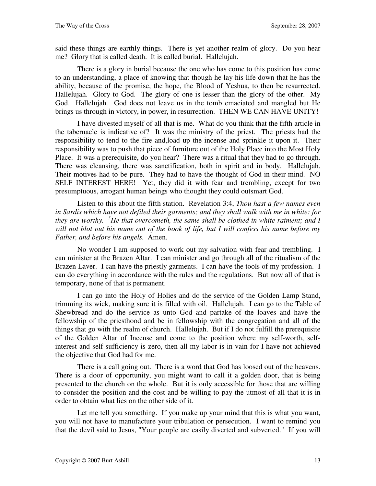said these things are earthly things. There is yet another realm of glory. Do you hear me? Glory that is called death. It is called burial. Hallelujah.

There is a glory in burial because the one who has come to this position has come to an understanding, a place of knowing that though he lay his life down that he has the ability, because of the promise, the hope, the Blood of Yeshua, to then be resurrected. Hallelujah. Glory to God. The glory of one is lesser than the glory of the other. My God. Hallelujah. God does not leave us in the tomb emaciated and mangled but He brings us through in victory, in power, in resurrection. THEN WE CAN HAVE UNITY!

I have divested myself of all that is me. What do you think that the fifth article in the tabernacle is indicative of? It was the ministry of the priest. The priests had the responsibility to tend to the fire and,load up the incense and sprinkle it upon it. Their responsibility was to push that piece of furniture out of the Holy Place into the Most Holy Place. It was a prerequisite, do you hear? There was a ritual that they had to go through. There was cleansing, there was sanctification, both in spirit and in body. Hallelujah. Their motives had to be pure. They had to have the thought of God in their mind. NO SELF INTEREST HERE! Yet, they did it with fear and trembling, except for two presumptuous, arrogant human beings who thought they could outsmart God.

Listen to this about the fifth station. Revelation 3:4, *Thou hast a few names even in Sardis which have not defiled their garments; and they shall walk with me in white: for they are worthy. <sup>5</sup>He that overcometh, the same shall be clothed in white raiment; and I will not blot out his name out of the book of life, but I will confess his name before my Father, and before his angels.* Amen.

No wonder I am supposed to work out my salvation with fear and trembling. I can minister at the Brazen Altar. I can minister and go through all of the ritualism of the Brazen Laver. I can have the priestly garments. I can have the tools of my profession. I can do everything in accordance with the rules and the regulations. But now all of that is temporary, none of that is permanent.

I can go into the Holy of Holies and do the service of the Golden Lamp Stand, trimming its wick, making sure it is filled with oil. Hallelujah. I can go to the Table of Shewbread and do the service as unto God and partake of the loaves and have the fellowship of the priesthood and be in fellowship with the congregation and all of the things that go with the realm of church. Hallelujah. But if I do not fulfill the prerequisite of the Golden Altar of Incense and come to the position where my self-worth, selfinterest and self-sufficiency is zero, then all my labor is in vain for I have not achieved the objective that God had for me.

There is a call going out. There is a word that God has loosed out of the heavens. There is a door of opportunity, you might want to call it a golden door, that is being presented to the church on the whole. But it is only accessible for those that are willing to consider the position and the cost and be willing to pay the utmost of all that it is in order to obtain what lies on the other side of it.

Let me tell you something. If you make up your mind that this is what you want, you will not have to manufacture your tribulation or persecution. I want to remind you that the devil said to Jesus, "Your people are easily diverted and subverted." If you will